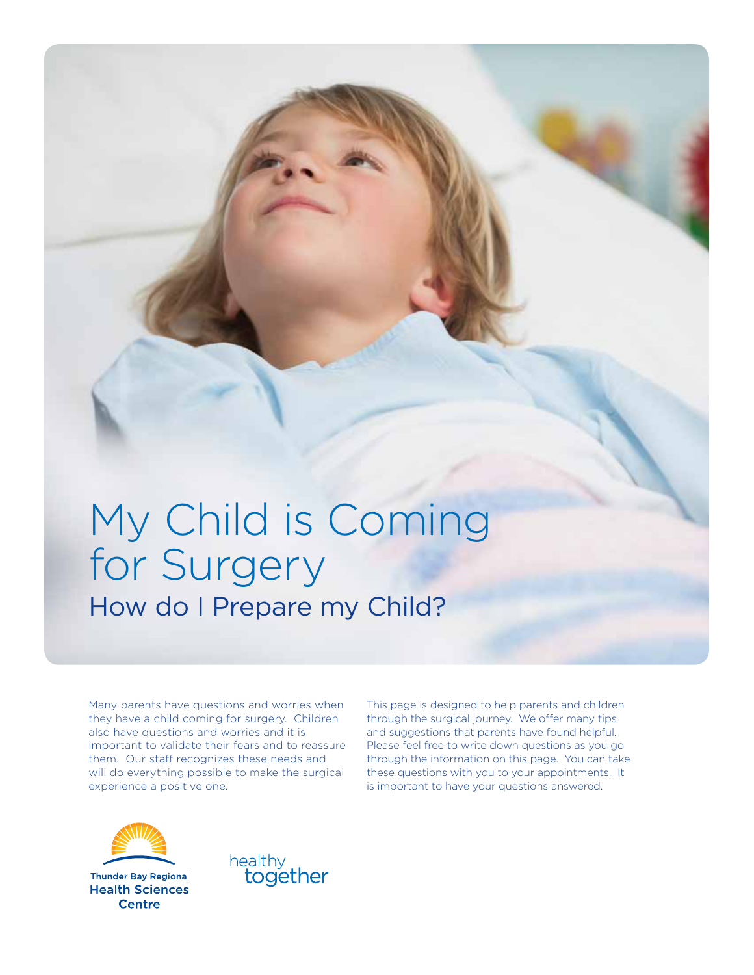# My Child is Coming for Surgery How do I Prepare my Child?

Many parents have questions and worries when they have a child coming for surgery. Children also have questions and worries and it is important to validate their fears and to reassure them. Our staff recognizes these needs and will do everything possible to make the surgical experience a positive one.

This page is designed to help parents and children through the surgical journey. We offer many tips and suggestions that parents have found helpful. Please feel free to write down questions as you go through the information on this page. You can take these questions with you to your appointments. It is important to have your questions answered.



**Thunder Bay Regional Health Sciences Centre** 

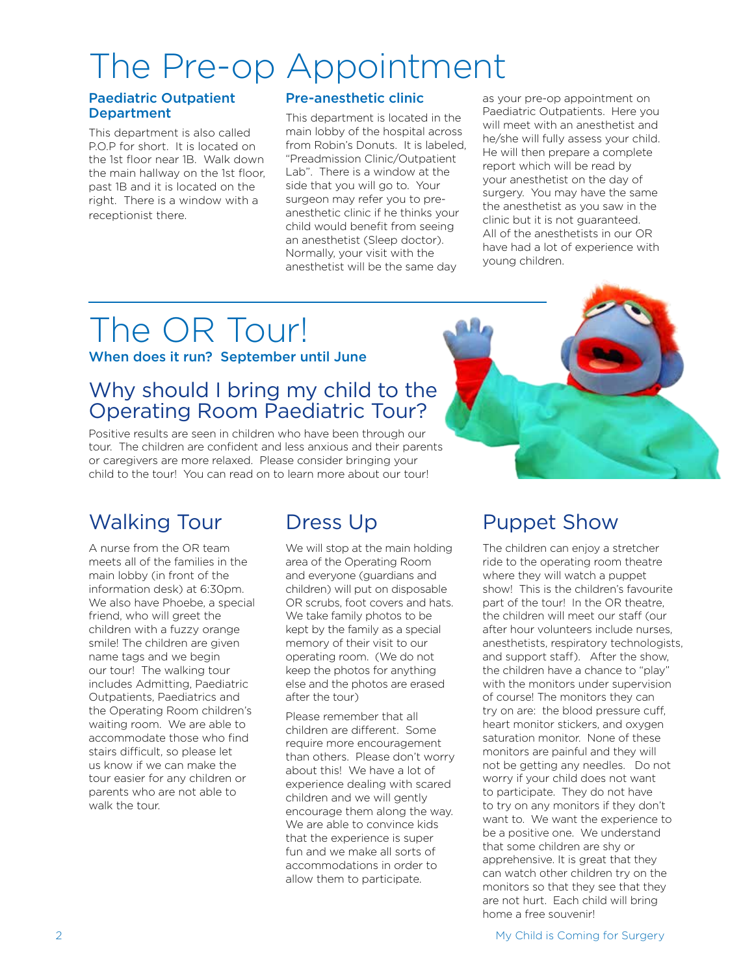# The Pre-op Appointment

#### Paediatric Outpatient **Department**

This department is also called P.O.P for short. It is located on the 1st floor near 1B. Walk down the main hallway on the 1st floor, past 1B and it is located on the right. There is a window with a receptionist there.

#### Pre-anesthetic clinic

This department is located in the main lobby of the hospital across from Robin's Donuts. It is labeled, "Preadmission Clinic/Outpatient Lab". There is a window at the side that you will go to. Your surgeon may refer you to preanesthetic clinic if he thinks your child would benefit from seeing an anesthetist (Sleep doctor). Normally, your visit with the anesthetist will be the same day

as your pre-op appointment on Paediatric Outpatients. Here you will meet with an anesthetist and he/she will fully assess your child. He will then prepare a complete report which will be read by your anesthetist on the day of surgery. You may have the same the anesthetist as you saw in the clinic but it is not guaranteed. All of the anesthetists in our OR have had a lot of experience with young children.

# The OR Tour!

When does it run? September until June

# Why should I bring my child to the Operating Room Paediatric Tour?

Positive results are seen in children who have been through our tour. The children are confident and less anxious and their parents or caregivers are more relaxed. Please consider bringing your child to the tour! You can read on to learn more about our tour!

# Walking Tour Dress Up Puppet Show

A nurse from the OR team meets all of the families in the main lobby (in front of the information desk) at 6:30pm. We also have Phoebe, a special friend, who will greet the children with a fuzzy orange smile! The children are given name tags and we begin our tour! The walking tour includes Admitting, Paediatric Outpatients, Paediatrics and the Operating Room children's waiting room. We are able to accommodate those who find stairs difficult, so please let us know if we can make the tour easier for any children or parents who are not able to walk the tour.

We will stop at the main holding area of the Operating Room and everyone (guardians and children) will put on disposable OR scrubs, foot covers and hats. We take family photos to be kept by the family as a special memory of their visit to our operating room. (We do not keep the photos for anything else and the photos are erased after the tour)

Please remember that all children are different. Some require more encouragement than others. Please don't worry about this! We have a lot of experience dealing with scared children and we will gently encourage them along the way. We are able to convince kids that the experience is super fun and we make all sorts of accommodations in order to allow them to participate.



The children can enjoy a stretcher ride to the operating room theatre where they will watch a puppet show! This is the children's favourite part of the tour! In the OR theatre the children will meet our staff (our after hour volunteers include nurses, anesthetists, respiratory technologists, and support staff). After the show, the children have a chance to "play" with the monitors under supervision of course! The monitors they can try on are: the blood pressure cuff, heart monitor stickers, and oxygen saturation monitor. None of these monitors are painful and they will not be getting any needles. Do not worry if your child does not want to participate. They do not have to try on any monitors if they don't want to. We want the experience to be a positive one. We understand that some children are shy or apprehensive. It is great that they can watch other children try on the monitors so that they see that they are not hurt. Each child will bring home a free souvenir!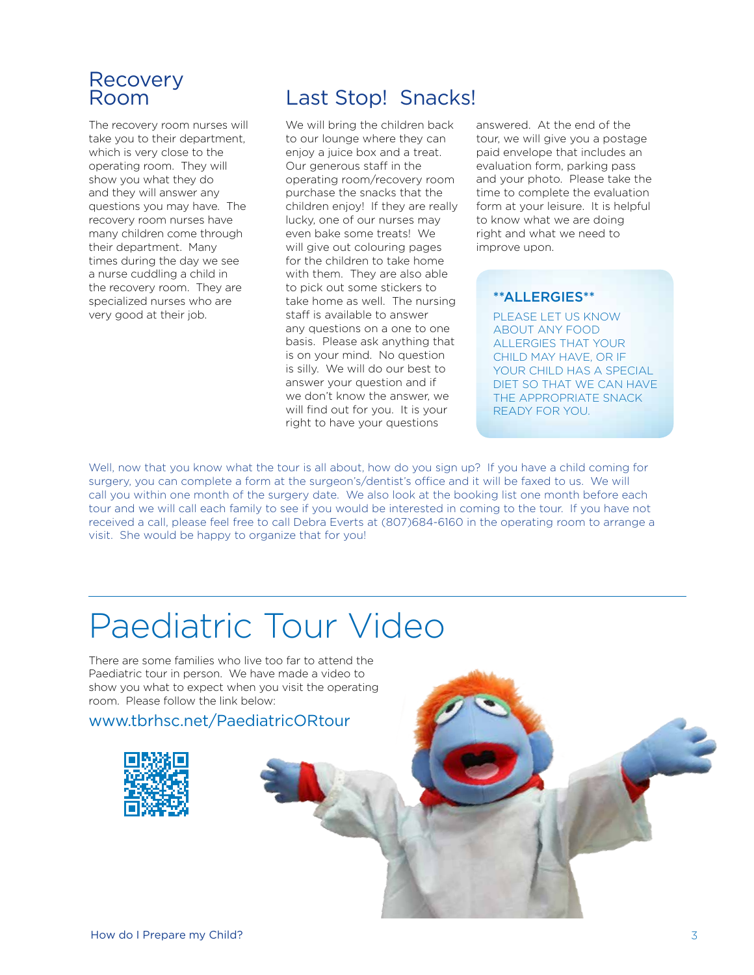# Recovery<br>Room

The recovery room nurses will take you to their department, which is very close to the operating room. They will show you what they do and they will answer any questions you may have. The recovery room nurses have many children come through their department. Many times during the day we see a nurse cuddling a child in the recovery room. They are specialized nurses who are very good at their job.

# Last Stop! Snacks!

We will bring the children back to our lounge where they can enjoy a juice box and a treat. Our generous staff in the operating room/recovery room purchase the snacks that the children enjoy! If they are really lucky, one of our nurses may even bake some treats! We will give out colouring pages for the children to take home with them. They are also able to pick out some stickers to take home as well. The nursing staff is available to answer any questions on a one to one basis. Please ask anything that is on your mind. No question is silly. We will do our best to answer your question and if we don't know the answer, we will find out for you. It is your right to have your questions

answered. At the end of the tour, we will give you a postage paid envelope that includes an evaluation form, parking pass and your photo. Please take the time to complete the evaluation form at your leisure. It is helpful to know what we are doing right and what we need to improve upon.

#### \*\*ALLERGIES\*\*

PLEASE LET US KNOW ABOUT ANY FOOD ALLERGIES THAT YOUR CHILD MAY HAVE, OR IF YOUR CHILD HAS A SPECIAL DIET SO THAT WE CAN HAVE THE APPROPRIATE SNACK READY FOR YOU.

Well, now that you know what the tour is all about, how do you sign up? If you have a child coming for surgery, you can complete a form at the surgeon's/dentist's office and it will be faxed to us. We will call you within one month of the surgery date. We also look at the booking list one month before each tour and we will call each family to see if you would be interested in coming to the tour. If you have not received a call, please feel free to call Debra Everts at (807)684-6160 in the operating room to arrange a visit. She would be happy to organize that for you!

# Paediatric Tour Video

There are some families who live too far to attend the Paediatric tour in person. We have made a video to show you what to expect when you visit the operating room. Please follow the link below:

www.tbrhsc.net/PaediatricORtour

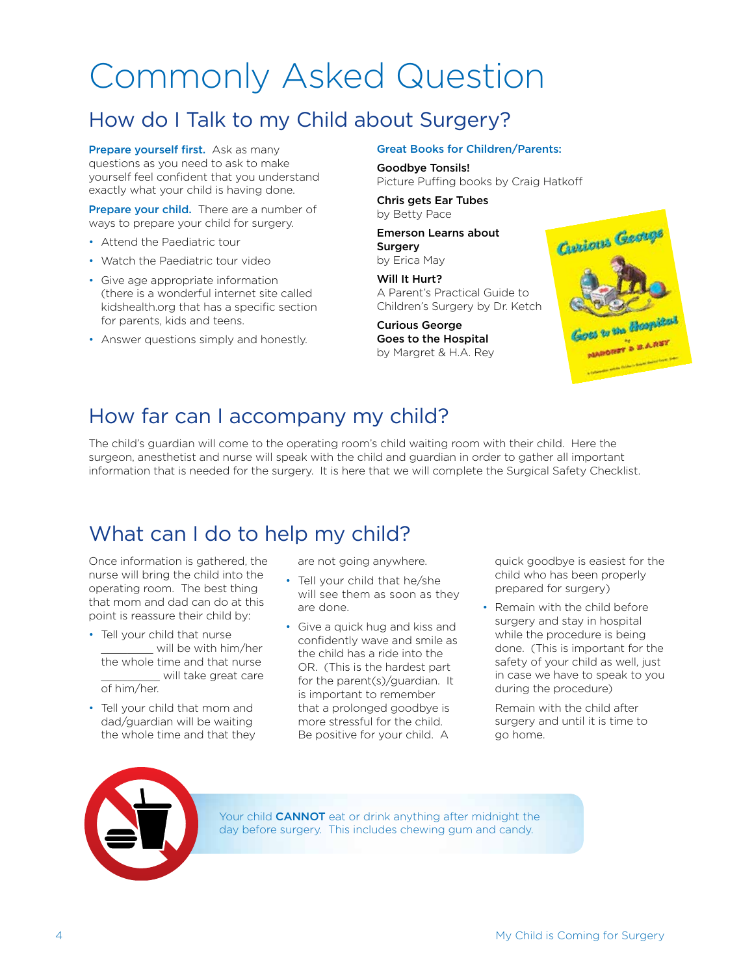# Commonly Asked Question

# How do I Talk to my Child about Surgery?

Prepare yourself first. Ask as many questions as you need to ask to make yourself feel confident that you understand exactly what your child is having done.

Prepare your child. There are a number of ways to prepare your child for surgery.

- Attend the Paediatric tour
- Watch the Paediatric tour video
- Give age appropriate information (there is a wonderful internet site called kidshealth.org that has a specific section for parents, kids and teens.
- Answer questions simply and honestly.

Great Books for Children/Parents:

Goodbye Tonsils! Picture Puffing books by Craig Hatkoff

Chris gets Ear Tubes by Betty Pace

Emerson Learns about Surgery by Erica May

Will It Hurt? A Parent's Practical Guide to Children's Surgery by Dr. Ketch

Curious George Goes to the Hospital by Margret & H.A. Rey



# How far can I accompany my child?

The child's guardian will come to the operating room's child waiting room with their child. Here the surgeon, anesthetist and nurse will speak with the child and guardian in order to gather all important information that is needed for the surgery. It is here that we will complete the Surgical Safety Checklist.

# What can I do to help my child?

Once information is gathered, the nurse will bring the child into the operating room. The best thing that mom and dad can do at this point is reassure their child by:

- Tell your child that nurse will be with him/her the whole time and that nurse \_\_\_\_\_\_\_\_\_ will take great care of him/her.
- Tell your child that mom and dad/guardian will be waiting the whole time and that they

are not going anywhere.

- Tell your child that he/she will see them as soon as they are done.
- Give a quick hug and kiss and confidently wave and smile as the child has a ride into the OR. (This is the hardest part for the parent(s)/guardian. It is important to remember that a prolonged goodbye is more stressful for the child. Be positive for your child. A

quick goodbye is easiest for the child who has been properly prepared for surgery)

• Remain with the child before surgery and stay in hospital while the procedure is being done. (This is important for the safety of your child as well, just in case we have to speak to you during the procedure)

Remain with the child after surgery and until it is time to go home.



Your child **CANNOT** eat or drink anything after midnight the day before surgery. This includes chewing gum and candy.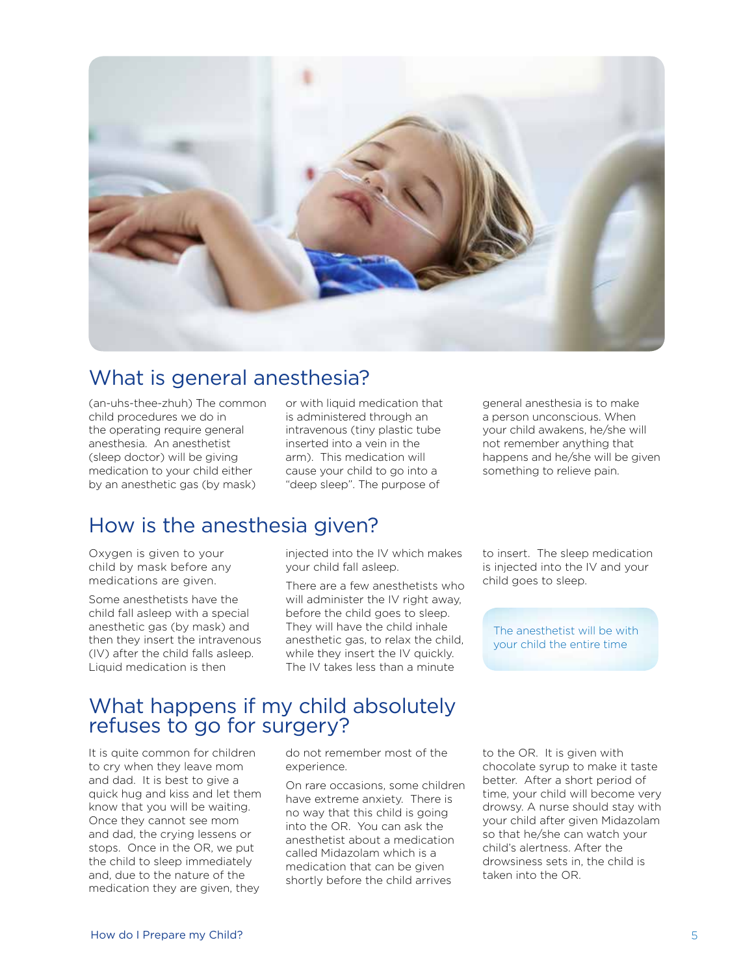

### What is general anesthesia?

(an-uhs-thee-zhuh) The common child procedures we do in the operating require general anesthesia. An anesthetist (sleep doctor) will be giving medication to your child either by an anesthetic gas (by mask)

or with liquid medication that is administered through an intravenous (tiny plastic tube inserted into a vein in the arm). This medication will cause your child to go into a "deep sleep". The purpose of

general anesthesia is to make a person unconscious. When your child awakens, he/she will not remember anything that happens and he/she will be given something to relieve pain.

# How is the anesthesia given?

Oxygen is given to your child by mask before any medications are given.

Some anesthetists have the child fall asleep with a special anesthetic gas (by mask) and then they insert the intravenous (IV) after the child falls asleep. Liquid medication is then

injected into the IV which makes your child fall asleep.

There are a few anesthetists who will administer the IV right away, before the child goes to sleep. They will have the child inhale anesthetic gas, to relax the child, while they insert the IV quickly. The IV takes less than a minute

to insert. The sleep medication is injected into the IV and your child goes to sleep.

The anesthetist will be with your child the entire time

### What happens if my child absolutely refuses to go for surgery?

It is quite common for children to cry when they leave mom and dad. It is best to give a quick hug and kiss and let them know that you will be waiting. Once they cannot see mom and dad, the crying lessens or stops. Once in the OR, we put the child to sleep immediately and, due to the nature of the medication they are given, they

do not remember most of the experience.

On rare occasions, some children have extreme anxiety. There is no way that this child is going into the OR. You can ask the anesthetist about a medication called Midazolam which is a medication that can be given shortly before the child arrives

to the OR. It is given with chocolate syrup to make it taste better. After a short period of time, your child will become very drowsy. A nurse should stay with your child after given Midazolam so that he/she can watch your child's alertness. After the drowsiness sets in, the child is taken into the OR.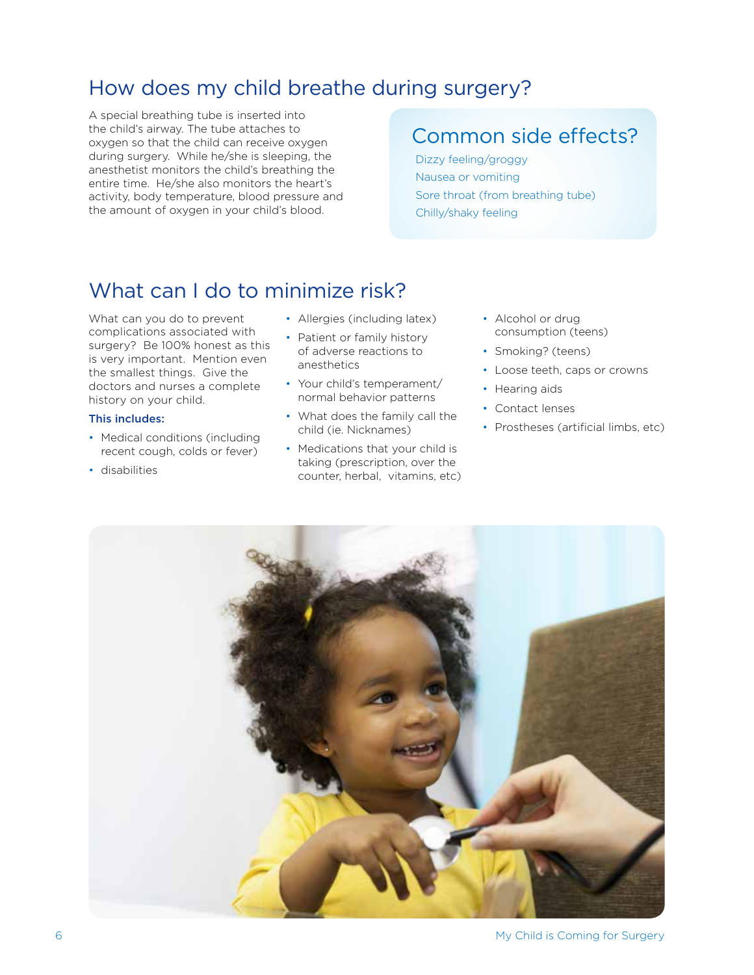# How does my child breathe during surgery?

A special breathing tube is inserted into the child's airway. The tube attaches to oxygen so that the child can receive oxygen during surgery. While he/she is sleeping, the anesthetist monitors the child's breathing the entire time. He/she also monitors the heart's activity, body temperature, blood pressure and the amount of oxygen in your child's blood.

# Common side effects?

Dizzy feeling/groggy Nausea or vomiting Sore throat (from breathing tube) Chilly/shaky feeling

# What can I do to minimize risk?

What can you do to prevent complications associated with surgery? Be 100% honest as this is very important. Mention even the smallest things. Give the doctors and nurses a complete history on your child.

#### This includes:

- Medical conditions (including recent cough, colds or fever)
- disabilities
- Allergies (including latex)
- Patient or family history of adverse reactions to anesthetics
- Your child's temperament/ normal behavior patterns
- What does the family call the child (ie. Nicknames)
- Medications that your child is taking (prescription, over the counter, herbal, vitamins, etc)
- Alcohol or drug consumption (teens)
- Smoking? (teens)
- Loose teeth, caps or crowns
- Hearing aids
- Contact lenses
- Prostheses (artificial limbs, etc)

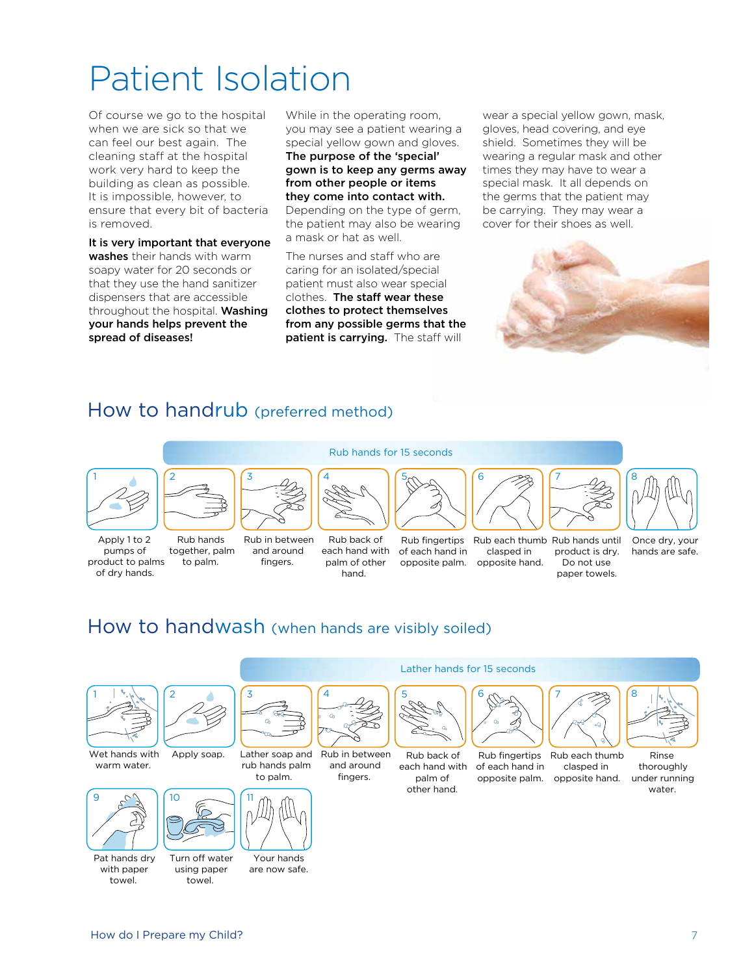# Patient Isolation

Of course we go to the hospital when we are sick so that we can feel our best again. The cleaning staff at the hospital work very hard to keep the building as clean as possible. It is impossible, however, to ensure that every bit of bacteria is removed.

It is very important that everyone washes their hands with warm soapy water for 20 seconds or that they use the hand sanitizer dispensers that are accessible throughout the hospital. Washing your hands helps prevent the spread of diseases!

While in the operating room, you may see a patient wearing a special yellow gown and gloves. The purpose of the 'special' gown is to keep any germs away from other people or items they come into contact with. Depending on the type of germ, the patient may also be wearing a mask or hat as well.

The nurses and staff who are caring for an isolated/special patient must also wear special clothes. The staff wear these clothes to protect themselves from any possible germs that the patient is carrying. The staff will

wear a special yellow gown, mask, gloves, head covering, and eye shield. Sometimes they will be wearing a regular mask and other times they may have to wear a special mask. It all depends on the germs that the patient may be carrying. They may wear a cover for their shoes as well.



### How to handrub (preferred method)





Apply 1 to 2 pumps of product to palms of dry hands.

Rub hands together, palm to palm.

Rub in between and around fingers. Rub back of

4

each hand with palm of other hand.

of each hand in

5

Rub hands for 15 seconds

Rub fingertips Rub each thumb Rub hands until opposite palm. opposite hand. clasped in

6

Lather hands for 15 seconds

6



Do not use paper towels.

7



product is dry. Once dry, your hands are safe.

How to handwash (when hands are visibly soiled)



Wet hands with warm water.



Pat hands dry with paper towel.



Apply soap. Lather soap and

10



Your hands are now safe.



Rub in between and around fingers.

Rub back of  $\mathcal{L}$  and with  $\mathcal{L}$ palm of other hand.

5

 $\mathscr{L}$ rand  $\diagdown$ 



Rub fingertips Rub each thumb of each hand in opposite palm.  $\sim$ 



clasped in opposite hand.



Rinse thoroughly under running water.

rub hands palm to palm.

 $\sim$   $\sim$ 

Turn off water using paper towel.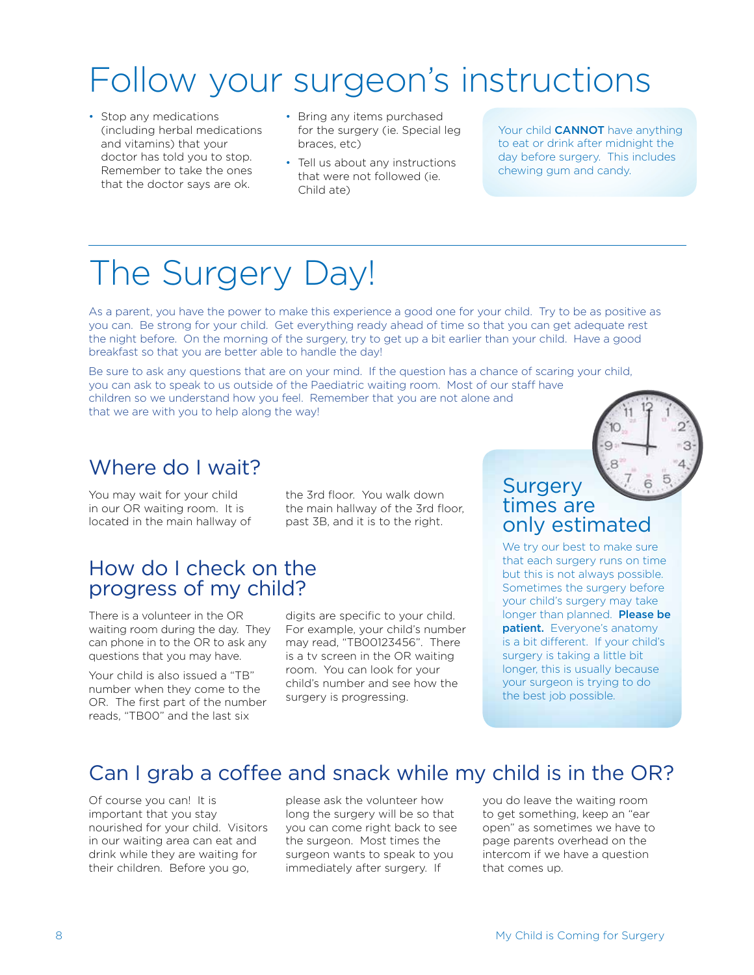# Follow your surgeon's instructions

- Stop any medications (including herbal medications and vitamins) that your doctor has told you to stop. Remember to take the ones that the doctor says are ok.
- Bring any items purchased for the surgery (ie. Special leg braces, etc)
- Tell us about any instructions that were not followed (ie. Child ate)

Your child **CANNOT** have anything to eat or drink after midnight the day before surgery. This includes chewing gum and candy.

# The Surgery Day!

As a parent, you have the power to make this experience a good one for your child. Try to be as positive as you can. Be strong for your child. Get everything ready ahead of time so that you can get adequate rest the night before. On the morning of the surgery, try to get up a bit earlier than your child. Have a good breakfast so that you are better able to handle the day!

Be sure to ask any questions that are on your mind. If the question has a chance of scaring your child, you can ask to speak to us outside of the Paediatric waiting room. Most of our staff have children so we understand how you feel. Remember that you are not alone and that we are with you to help along the way!

# Where do I wait?

You may wait for your child in our OR waiting room. It is located in the main hallway of

the 3rd floor. You walk down the main hallway of the 3rd floor, past 3B, and it is to the right.

### How do I check on the progress of my child?

There is a volunteer in the OR waiting room during the day. They can phone in to the OR to ask any questions that you may have.

Your child is also issued a "TB" number when they come to the OR. The first part of the number reads, "TB00" and the last six

digits are specific to your child. For example, your child's number may read, "TB00123456". There is a tv screen in the OR waiting room. You can look for your child's number and see how the surgery is progressing.

### **Surgery** times are only estimated

We try our best to make sure that each surgery runs on time but this is not always possible. Sometimes the surgery before your child's surgery may take longer than planned. Please be patient. Everyone's anatomy is a bit different. If your child's surgery is taking a little bit longer, this is usually because your surgeon is trying to do the best job possible.

# Can I grab a coffee and snack while my child is in the OR?

Of course you can! It is important that you stay nourished for your child. Visitors in our waiting area can eat and drink while they are waiting for their children. Before you go,

please ask the volunteer how long the surgery will be so that you can come right back to see the surgeon. Most times the surgeon wants to speak to you immediately after surgery. If

you do leave the waiting room to get something, keep an "ear open" as sometimes we have to page parents overhead on the intercom if we have a question that comes up.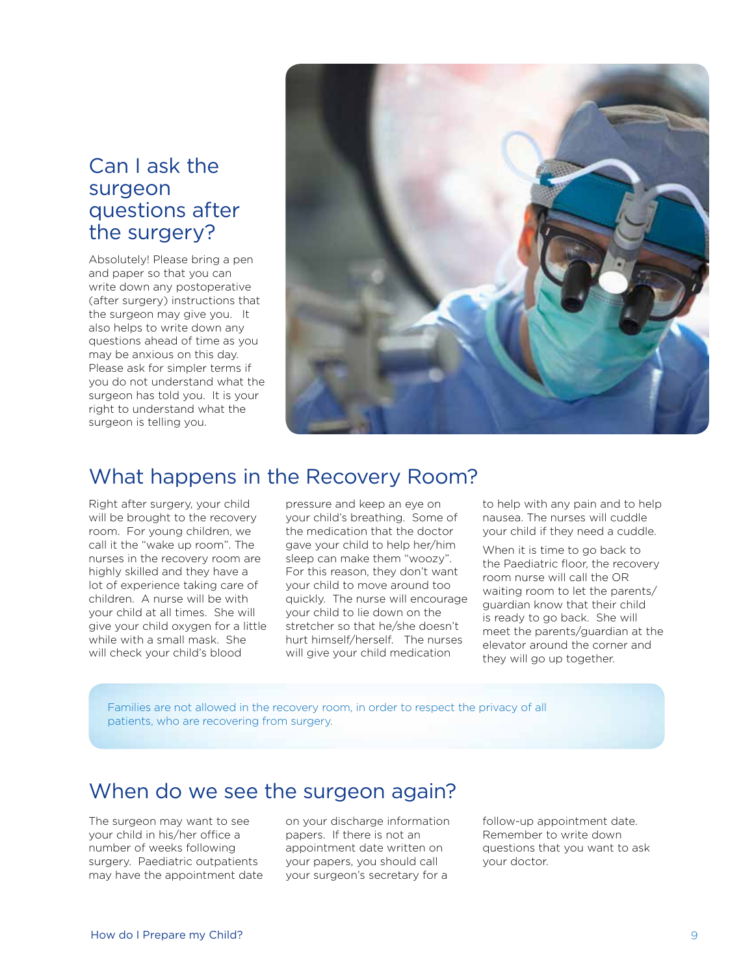### Can I ask the surgeon questions after the surgery?

Absolutely! Please bring a pen and paper so that you can write down any postoperative (after surgery) instructions that the surgeon may give you. It also helps to write down any questions ahead of time as you may be anxious on this day. Please ask for simpler terms if you do not understand what the surgeon has told you. It is your right to understand what the surgeon is telling you.



### What happens in the Recovery Room?

Right after surgery, your child will be brought to the recovery room. For young children, we call it the "wake up room". The nurses in the recovery room are highly skilled and they have a lot of experience taking care of children. A nurse will be with your child at all times. She will give your child oxygen for a little while with a small mask. She will check your child's blood

pressure and keep an eye on your child's breathing. Some of the medication that the doctor gave your child to help her/him sleep can make them "woozy". For this reason, they don't want your child to move around too quickly. The nurse will encourage your child to lie down on the stretcher so that he/she doesn't hurt himself/herself. The nurses will give your child medication

to help with any pain and to help nausea. The nurses will cuddle your child if they need a cuddle.

When it is time to go back to the Paediatric floor, the recovery room nurse will call the OR waiting room to let the parents/ guardian know that their child is ready to go back. She will meet the parents/guardian at the elevator around the corner and they will go up together.

Families are not allowed in the recovery room, in order to respect the privacy of all patients, who are recovering from surgery.

## When do we see the surgeon again?

The surgeon may want to see your child in his/her office a number of weeks following surgery. Paediatric outpatients may have the appointment date on your discharge information papers. If there is not an appointment date written on your papers, you should call your surgeon's secretary for a

follow-up appointment date. Remember to write down questions that you want to ask your doctor.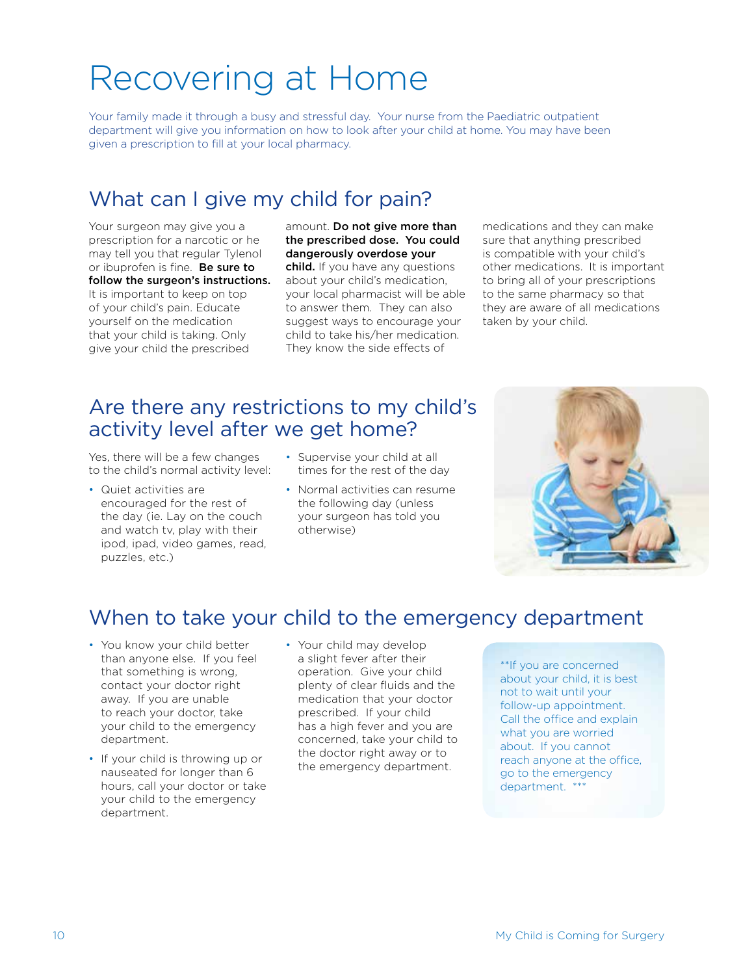# Recovering at Home

Your family made it through a busy and stressful day. Your nurse from the Paediatric outpatient department will give you information on how to look after your child at home. You may have been given a prescription to fill at your local pharmacy.

# What can I give my child for pain?

Your surgeon may give you a prescription for a narcotic or he may tell you that regular Tylenol or ibuprofen is fine. Be sure to follow the surgeon's instructions. It is important to keep on top of your child's pain. Educate yourself on the medication that your child is taking. Only give your child the prescribed

amount. Do not give more than the prescribed dose. You could dangerously overdose your child. If you have any questions about your child's medication, your local pharmacist will be able to answer them. They can also suggest ways to encourage your child to take his/her medication. They know the side effects of

medications and they can make sure that anything prescribed is compatible with your child's other medications. It is important to bring all of your prescriptions to the same pharmacy so that they are aware of all medications taken by your child.

# Are there any restrictions to my child's activity level after we get home?

Yes, there will be a few changes to the child's normal activity level:

- Quiet activities are encouraged for the rest of the day (ie. Lay on the couch and watch tv, play with their ipod, ipad, video games, read, puzzles, etc.)
- Supervise your child at all times for the rest of the day
- Normal activities can resume the following day (unless your surgeon has told you otherwise)



# When to take your child to the emergency department

- You know your child better than anyone else. If you feel that something is wrong, contact your doctor right away. If you are unable to reach your doctor, take your child to the emergency department.
- If your child is throwing up or nauseated for longer than 6 hours, call your doctor or take your child to the emergency department.
- Your child may develop a slight fever after their operation. Give your child plenty of clear fluids and the medication that your doctor prescribed. If your child has a high fever and you are concerned, take your child to the doctor right away or to the emergency department.

\*\*If you are concerned about your child, it is best not to wait until your follow-up appointment. Call the office and explain what you are worried about. If you cannot reach anyone at the office, go to the emergency department. \*\*\*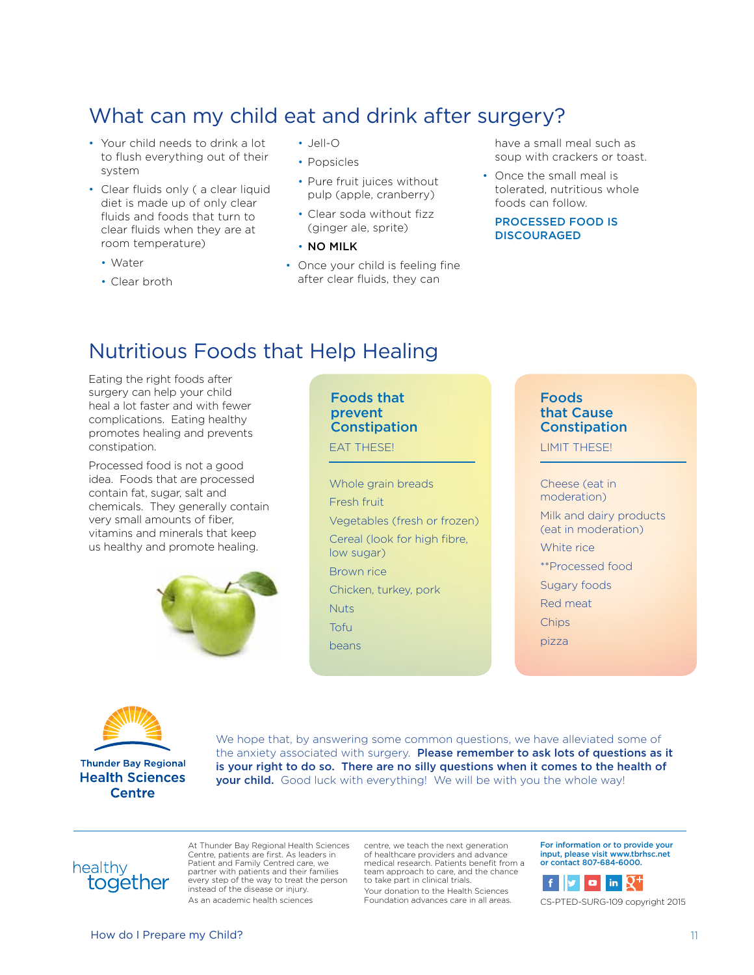# What can my child eat and drink after surgery?

- Your child needs to drink a lot to flush everything out of their system
- Clear fluids only ( a clear liquid diet is made up of only clear fluids and foods that turn to clear fluids when they are at room temperature)
	- Water
	- Clear broth
- Jell-O
- Popsicles
- Pure fruit juices without pulp (apple, cranberry)
- Clear soda without fizz (ginger ale, sprite)
- NO MILK
- Once your child is feeling fine after clear fluids, they can

have a small meal such as soup with crackers or toast.

• Once the small meal is tolerated, nutritious whole foods can follow.

#### PROCESSED FOOD IS **DISCOURAGED**

# Nutritious Foods that Help Healing

Eating the right foods after surgery can help your child heal a lot faster and with fewer complications. Eating healthy promotes healing and prevents constipation.

Processed food is not a good idea. Foods that are processed contain fat, sugar, salt and chemicals. They generally contain very small amounts of fiber, vitamins and minerals that keep us healthy and promote healing.



#### Foods that prevent **Constipation**

Whole grain breads Fresh fruit Vegetables (fresh or frozen) Cereal (look for high fibre, low sugar) Brown rice Chicken, turkey, pork **Nuts** Tofu beans

#### Foods that Cause Constipation

EAT THESE! LIMIT THESE!

Cheese (eat in moderation) Milk and dairy products (eat in moderation) White rice \*\*Processed food Sugary foods Red meat **Chips** 

pizza



We hope that, by answering some common questions, we have alleviated some of the anxiety associated with surgery. Please remember to ask lots of questions as it is your right to do so. There are no silly questions when it comes to the health of your child. Good luck with everything! We will be with you the whole way!



At Thunder Bay Regional Health Sciences Centre, patients are first. As leaders in Patient and Family Centred care, we partner with patients and their families every step of the way to treat the person instead of the disease or injury. As an academic health sciences

centre, we teach the next generation of healthcare providers and advance medical research. Patients benefit from a team approach to care, and the chance to take part in clinical trials.

Your donation to the Health Sciences Foundation advances care in all areas. For information or to provide your input, please visit www.tbrhsc.net or contact 807-684-6000.



CS-PTED-SURG-109 copyright 2015